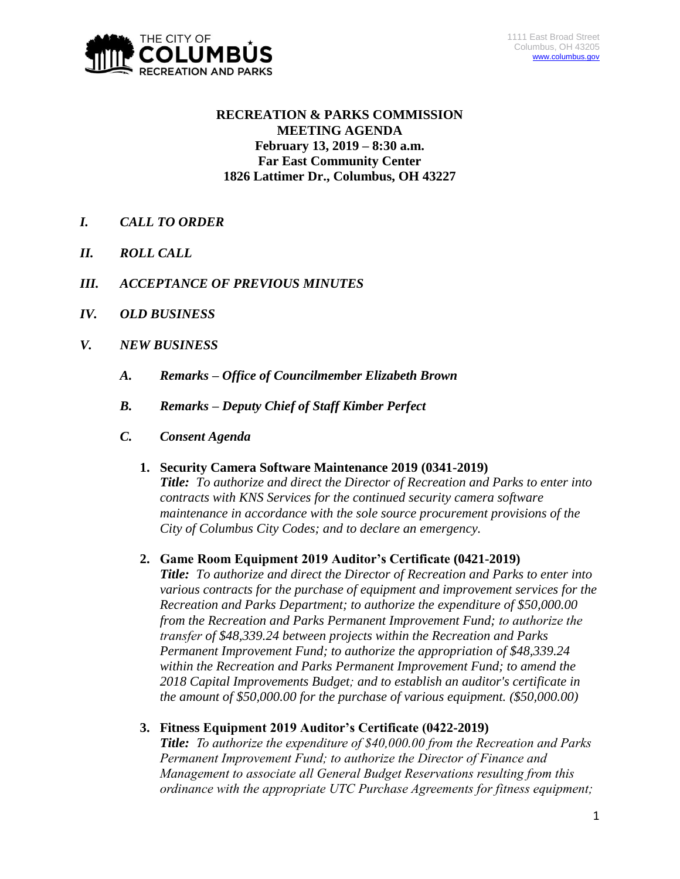

## **RECREATION & PARKS COMMISSION MEETING AGENDA February 13, 2019 – 8:30 a.m. Far East Community Center 1826 Lattimer Dr., Columbus, OH 43227**

- *I. CALL TO ORDER*
- *II. ROLL CALL*
- *III. ACCEPTANCE OF PREVIOUS MINUTES*
- *IV. OLD BUSINESS*
- *V. NEW BUSINESS*
	- *A. Remarks – Office of Councilmember Elizabeth Brown*
	- *B. Remarks – Deputy Chief of Staff Kimber Perfect*
	- *C. Consent Agenda* 
		- **1. Security Camera Software Maintenance 2019 (0341-2019)** *Title: To authorize and direct the Director of Recreation and Parks to enter into contracts with KNS Services for the continued security camera software maintenance in accordance with the sole source procurement provisions of the City of Columbus City Codes; and to declare an emergency.*

### **2. Game Room Equipment 2019 Auditor's Certificate (0421-2019)**

*Title: To authorize and direct the Director of Recreation and Parks to enter into various contracts for the purchase of equipment and improvement services for the Recreation and Parks Department; to authorize the expenditure of \$50,000.00 from the Recreation and Parks Permanent Improvement Fund; to authorize the transfer of \$48,339.24 between projects within the Recreation and Parks Permanent Improvement Fund; to authorize the appropriation of \$48,339.24 within the Recreation and Parks Permanent Improvement Fund; to amend the 2018 Capital Improvements Budget; and to establish an auditor's certificate in the amount of \$50,000.00 for the purchase of various equipment. (\$50,000.00)*

**3. Fitness Equipment 2019 Auditor's Certificate (0422-2019)**

*Title: To authorize the expenditure of \$40,000.00 from the Recreation and Parks Permanent Improvement Fund; to authorize the Director of Finance and Management to associate all General Budget Reservations resulting from this ordinance with the appropriate UTC Purchase Agreements for fitness equipment;*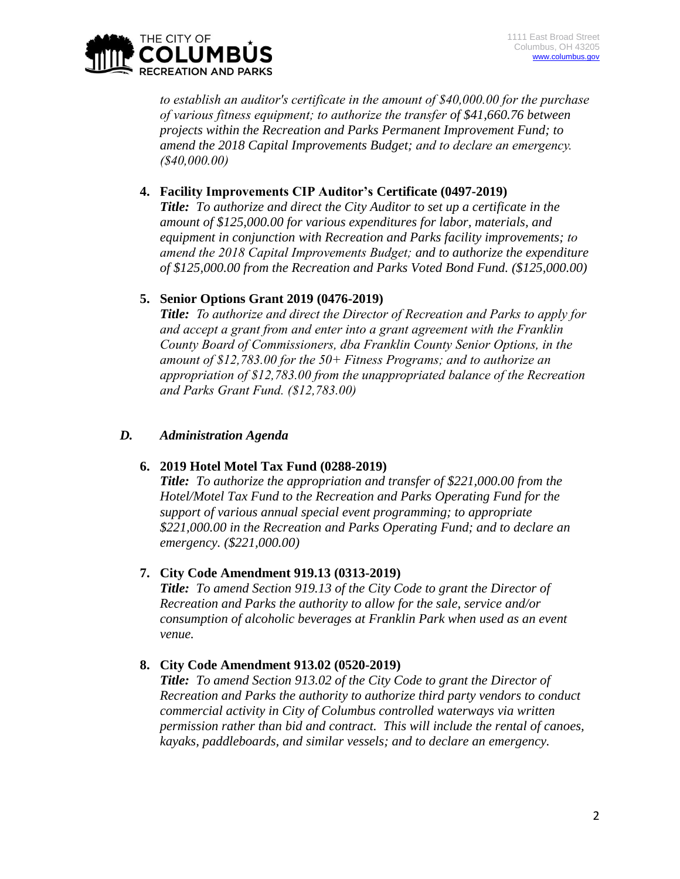

*to establish an auditor's certificate in the amount of \$40,000.00 for the purchase of various fitness equipment; to authorize the transfer of \$41,660.76 between projects within the Recreation and Parks Permanent Improvement Fund; to amend the 2018 Capital Improvements Budget; and to declare an emergency. (\$40,000.00)*

## **4. Facility Improvements CIP Auditor's Certificate (0497-2019)**

*Title: To authorize and direct the City Auditor to set up a certificate in the amount of \$125,000.00 for various expenditures for labor, materials, and equipment in conjunction with Recreation and Parks facility improvements; to amend the 2018 Capital Improvements Budget; and to authorize the expenditure of \$125,000.00 from the Recreation and Parks Voted Bond Fund. (\$125,000.00)*

## **5. Senior Options Grant 2019 (0476-2019)**

*Title: To authorize and direct the Director of Recreation and Parks to apply for and accept a grant from and enter into a grant agreement with the Franklin County Board of Commissioners, dba Franklin County Senior Options, in the amount of \$12,783.00 for the 50+ Fitness Programs; and to authorize an appropriation of \$12,783.00 from the unappropriated balance of the Recreation and Parks Grant Fund. (\$12,783.00)*

## *D. Administration Agenda*

# **6. 2019 Hotel Motel Tax Fund (0288-2019)**

*Title: To authorize the appropriation and transfer of \$221,000.00 from the Hotel/Motel Tax Fund to the Recreation and Parks Operating Fund for the support of various annual special event programming; to appropriate \$221,000.00 in the Recreation and Parks Operating Fund; and to declare an emergency. (\$221,000.00)*

## **7. City Code Amendment 919.13 (0313-2019)**

*Title: To amend Section 919.13 of the City Code to grant the Director of Recreation and Parks the authority to allow for the sale, service and/or consumption of alcoholic beverages at Franklin Park when used as an event venue.* 

# **8. City Code Amendment 913.02 (0520-2019)**

*Title: To amend Section 913.02 of the City Code to grant the Director of Recreation and Parks the authority to authorize third party vendors to conduct commercial activity in City of Columbus controlled waterways via written permission rather than bid and contract. This will include the rental of canoes, kayaks, paddleboards, and similar vessels; and to declare an emergency.*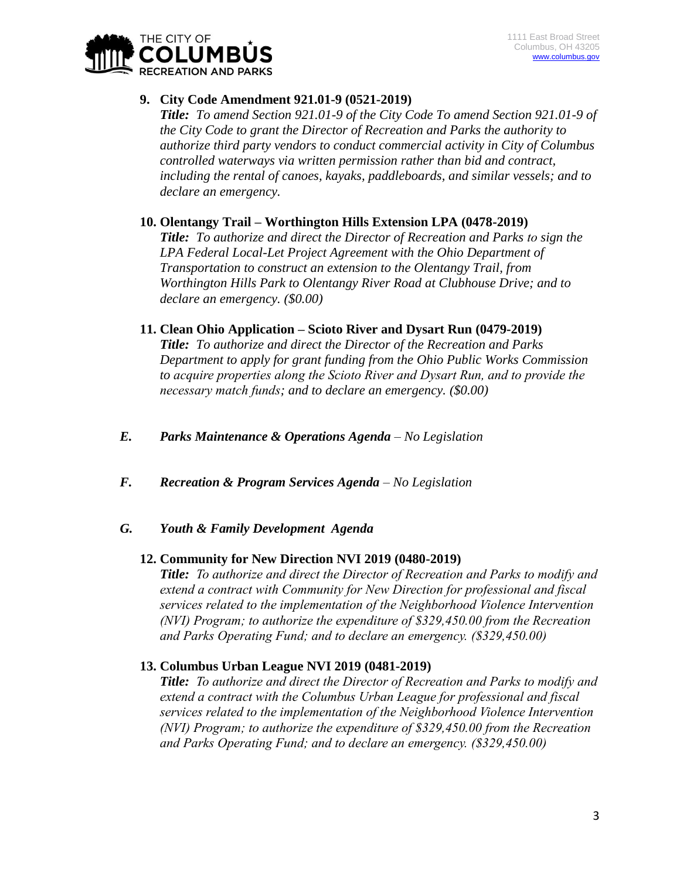

### **9. City Code Amendment 921.01-9 (0521-2019)**

*Title: To amend Section 921.01-9 of the City Code To amend Section 921.01-9 of the City Code to grant the Director of Recreation and Parks the authority to authorize third party vendors to conduct commercial activity in City of Columbus controlled waterways via written permission rather than bid and contract, including the rental of canoes, kayaks, paddleboards, and similar vessels; and to declare an emergency.*

**10. Olentangy Trail – Worthington Hills Extension LPA (0478-2019)** *Title: To authorize and direct the Director of Recreation and Parks to sign the LPA Federal Local-Let Project Agreement with the Ohio Department of Transportation to construct an extension to the Olentangy Trail, from Worthington Hills Park to Olentangy River Road at Clubhouse Drive; and to declare an emergency. (\$0.00)*

### **11. Clean Ohio Application – Scioto River and Dysart Run (0479-2019)**

*Title: To authorize and direct the Director of the Recreation and Parks Department to apply for grant funding from the Ohio Public Works Commission to acquire properties along the Scioto River and Dysart Run, and to provide the necessary match funds; and to declare an emergency. (\$0.00)*

- *E. Parks Maintenance & Operations Agenda – No Legislation*
- *F. Recreation & Program Services Agenda – No Legislation*
- *G. Youth & Family Development Agenda*

### **12. Community for New Direction NVI 2019 (0480-2019)**

*Title: To authorize and direct the Director of Recreation and Parks to modify and extend a contract with Community for New Direction for professional and fiscal services related to the implementation of the Neighborhood Violence Intervention (NVI) Program; to authorize the expenditure of \$329,450.00 from the Recreation and Parks Operating Fund; and to declare an emergency. (\$329,450.00)*

### **13. Columbus Urban League NVI 2019 (0481-2019)**

*Title: To authorize and direct the Director of Recreation and Parks to modify and extend a contract with the Columbus Urban League for professional and fiscal services related to the implementation of the Neighborhood Violence Intervention (NVI) Program; to authorize the expenditure of \$329,450.00 from the Recreation and Parks Operating Fund; and to declare an emergency. (\$329,450.00)*